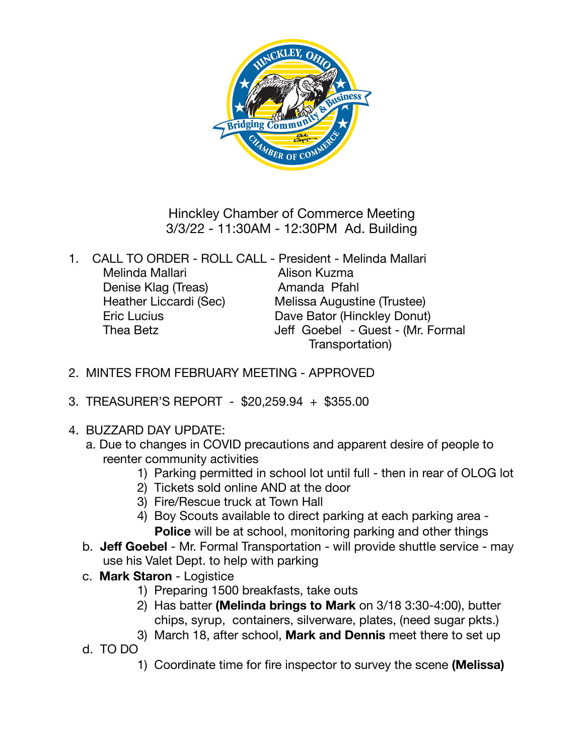

Hinckley Chamber of Commerce Meeting 3/3/22 - 11:30AM - 12:30PM Ad. Building

| 1. | CALL TO ORDER - ROLL CALL - President - Melinda Mallari |                                   |
|----|---------------------------------------------------------|-----------------------------------|
|    | Melinda Mallari                                         | Alison Kuzma                      |
|    | Denise Klag (Treas)                                     | Amanda Pfahl                      |
|    | Heather Liccardi (Sec)                                  | Melissa Augustine (Trustee)       |
|    | <b>Eric Lucius</b>                                      | Dave Bator (Hinckley Donut)       |
|    | Thea Betz                                               | Jeff Goebel - Guest - (Mr. Formal |
|    |                                                         | Transportation)                   |

- 2. MINTES FROM FEBRUARY MEETING APPROVED
- 3. TREASURER'S REPORT \$20,259.94 + \$355.00
- 4. BUZZARD DAY UPDATE:
	- a. Due to changes in COVID precautions and apparent desire of people to reenter community activities
		- 1) Parking permitted in school lot until full then in rear of OLOG lot
		- 2) Tickets sold online AND at the door
		- 3) Fire/Rescue truck at Town Hall
		- 4) Boy Scouts available to direct parking at each parking area **Police** will be at school, monitoring parking and other things
	- b. **Jeff Goebel** Mr. Formal Transportation will provide shuttle service may use his Valet Dept. to help with parking
	- c. **Mark Staron** Logistice
		- 1) Preparing 1500 breakfasts, take outs
		- 2) Has batter **(Melinda brings to Mark** on 3/18 3:30-4:00), butter chips, syrup, containers, silverware, plates, (need sugar pkts.)
		- 3) March 18, after school, **Mark and Dennis** meet there to set up
	- d. TO DO
		- 1) Coordinate time for fire inspector to survey the scene **(Melissa)**